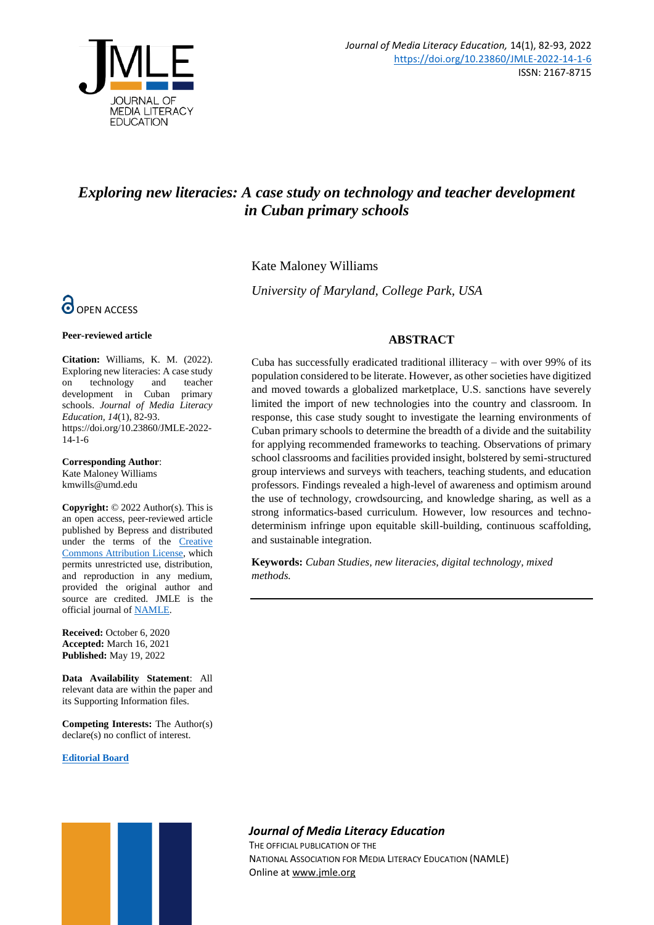

# *Exploring new literacies: A case study on technology and teacher development in Cuban primary schools*

Kate Maloney Williams

*University of Maryland, College Park, USA*

# **ABSTRACT**

Cuba has successfully eradicated traditional illiteracy – with over 99% of its population considered to be literate. However, as other societies have digitized and moved towards a globalized marketplace, U.S. sanctions have severely limited the import of new technologies into the country and classroom. In response, this case study sought to investigate the learning environments of Cuban primary schools to determine the breadth of a divide and the suitability for applying recommended frameworks to teaching. Observations of primary school classrooms and facilities provided insight, bolstered by semi-structured group interviews and surveys with teachers, teaching students, and education professors. Findings revealed a high-level of awareness and optimism around the use of technology, crowdsourcing, and knowledge sharing, as well as a strong informatics-based curriculum. However, low resources and technodeterminism infringe upon equitable skill-building, continuous scaffolding, and sustainable integration.

**Keywords:** *Cuban Studies, new literacies, digital technology, mixed methods.*



#### **Peer-reviewed article**

**Citation:** Williams, K. M. (2022). Exploring new literacies: A case study on technology and teacher development in Cuban primary schools. *Journal of Media Literacy Education, 14*(1), 82-93. https://doi.org/10.23860/JMLE-2022- 14-1-6

**Corresponding Author**: Kate Maloney Williams kmwills@umd.edu

**Copyright:** © 2022 Author(s). This is an open access, peer-reviewed article published by Bepress and distributed under the terms of the [Creative](https://creativecommons.org/licenses/by/4.0/)  [Commons Attribution License,](https://creativecommons.org/licenses/by/4.0/) which permits unrestricted use, distribution, and reproduction in any medium, provided the original author and source are credited. JMLE is the official journal o[f NAMLE.](https://namle.net/)

**Received:** October 6, 2020 **Accepted:** March 16, 2021 **Published:** May 19, 2022

**Data Availability Statement**: All relevant data are within the paper and its Supporting Information files.

**Competing Interests:** The Author(s) declare(s) no conflict of interest.

#### **[Editorial Board](https://digitalcommons.uri.edu/jmle/editorialboard.html)**



# *Journal of Media Literacy Education*

THE OFFICIAL PUBLICATION OF THE NATIONAL ASSOCIATION FOR MEDIA LITERACY EDUCATION (NAMLE) Online at [www.jmle.org](http://www.jmle.org/)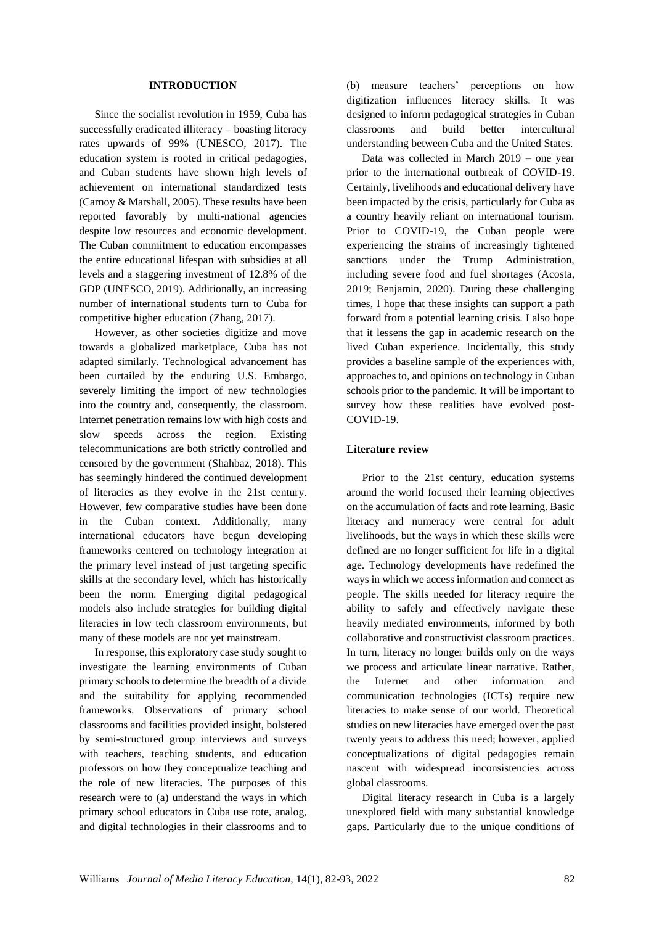#### **INTRODUCTION**

Since the socialist revolution in 1959, Cuba has successfully eradicated illiteracy – boasting literacy rates upwards of 99% (UNESCO, 2017). The education system is rooted in critical pedagogies, and Cuban students have shown high levels of achievement on international standardized tests (Carnoy & Marshall, 2005). These results have been reported favorably by multi-national agencies despite low resources and economic development. The Cuban commitment to education encompasses the entire educational lifespan with subsidies at all levels and a staggering investment of 12.8% of the GDP (UNESCO, 2019). Additionally, an increasing number of international students turn to Cuba for competitive higher education (Zhang, 2017).

However, as other societies digitize and move towards a globalized marketplace, Cuba has not adapted similarly. Technological advancement has been curtailed by the enduring U.S. Embargo, severely limiting the import of new technologies into the country and, consequently, the classroom. Internet penetration remains low with high costs and slow speeds across the region. Existing telecommunications are both strictly controlled and censored by the government (Shahbaz, 2018). This has seemingly hindered the continued development of literacies as they evolve in the 21st century. However, few comparative studies have been done in the Cuban context. Additionally, many international educators have begun developing frameworks centered on technology integration at the primary level instead of just targeting specific skills at the secondary level, which has historically been the norm. Emerging digital pedagogical models also include strategies for building digital literacies in low tech classroom environments, but many of these models are not yet mainstream.

In response, this exploratory case study sought to investigate the learning environments of Cuban primary schools to determine the breadth of a divide and the suitability for applying recommended frameworks. Observations of primary school classrooms and facilities provided insight, bolstered by semi-structured group interviews and surveys with teachers, teaching students, and education professors on how they conceptualize teaching and the role of new literacies. The purposes of this research were to (a) understand the ways in which primary school educators in Cuba use rote, analog, and digital technologies in their classrooms and to

(b) measure teachers' perceptions on how digitization influences literacy skills. It was designed to inform pedagogical strategies in Cuban classrooms and build better intercultural understanding between Cuba and the United States.

Data was collected in March 2019 – one year prior to the international outbreak of COVID-19. Certainly, livelihoods and educational delivery have been impacted by the crisis, particularly for Cuba as a country heavily reliant on international tourism. Prior to COVID-19, the Cuban people were experiencing the strains of increasingly tightened sanctions under the Trump Administration, including severe food and fuel shortages (Acosta, 2019; Benjamin, 2020). During these challenging times, I hope that these insights can support a path forward from a potential learning crisis. I also hope that it lessens the gap in academic research on the lived Cuban experience. Incidentally, this study provides a baseline sample of the experiences with, approaches to, and opinions on technology in Cuban schools prior to the pandemic. It will be important to survey how these realities have evolved post-COVID-19.

#### **Literature review**

Prior to the 21st century, education systems around the world focused their learning objectives on the accumulation of facts and rote learning. Basic literacy and numeracy were central for adult livelihoods, but the ways in which these skills were defined are no longer sufficient for life in a digital age. Technology developments have redefined the ways in which we access information and connect as people. The skills needed for literacy require the ability to safely and effectively navigate these heavily mediated environments, informed by both collaborative and constructivist classroom practices. In turn, literacy no longer builds only on the ways we process and articulate linear narrative. Rather, the Internet and other information and communication technologies (ICTs) require new literacies to make sense of our world. Theoretical studies on new literacies have emerged over the past twenty years to address this need; however, applied conceptualizations of digital pedagogies remain nascent with widespread inconsistencies across global classrooms.

Digital literacy research in Cuba is a largely unexplored field with many substantial knowledge gaps. Particularly due to the unique conditions of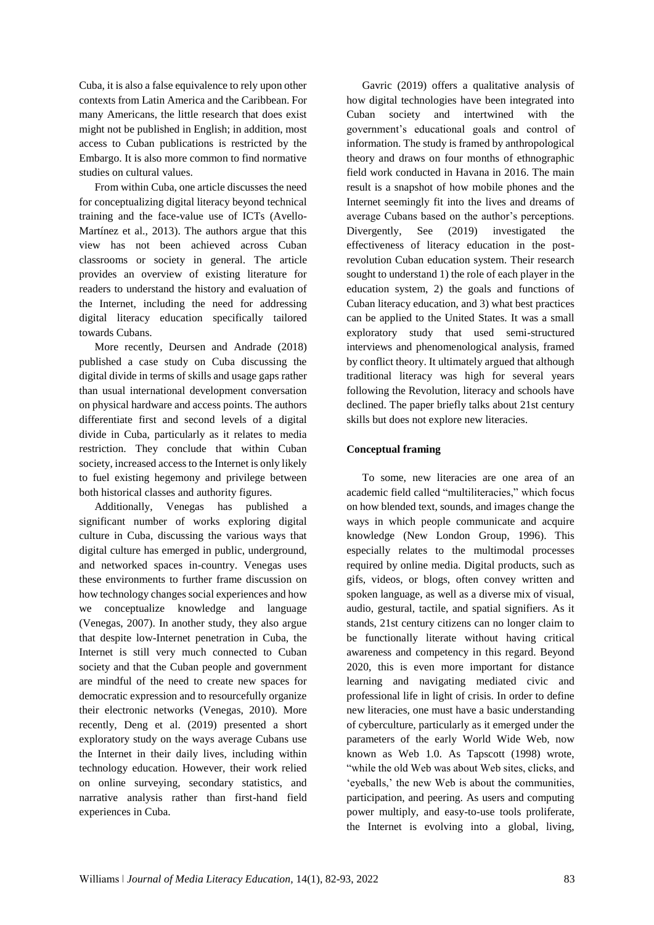Cuba, it is also a false equivalence to rely upon other contexts from Latin America and the Caribbean. For many Americans, the little research that does exist might not be published in English; in addition, most access to Cuban publications is restricted by the Embargo. It is also more common to find normative studies on cultural values.

From within Cuba, one article discusses the need for conceptualizing digital literacy beyond technical training and the face-value use of ICTs (Avello-Martínez et al., 2013). The authors argue that this view has not been achieved across Cuban classrooms or society in general. The article provides an overview of existing literature for readers to understand the history and evaluation of the Internet, including the need for addressing digital literacy education specifically tailored towards Cubans.

More recently, Deursen and Andrade (2018) published a case study on Cuba discussing the digital divide in terms of skills and usage gaps rather than usual international development conversation on physical hardware and access points. The authors differentiate first and second levels of a digital divide in Cuba, particularly as it relates to media restriction. They conclude that within Cuban society, increased access to the Internet is only likely to fuel existing hegemony and privilege between both historical classes and authority figures.

Additionally, Venegas has published a significant number of works exploring digital culture in Cuba, discussing the various ways that digital culture has emerged in public, underground, and networked spaces in-country. Venegas uses these environments to further frame discussion on how technology changes social experiences and how we conceptualize knowledge and language (Venegas, 2007). In another study, they also argue that despite low-Internet penetration in Cuba, the Internet is still very much connected to Cuban society and that the Cuban people and government are mindful of the need to create new spaces for democratic expression and to resourcefully organize their electronic networks (Venegas, 2010). More recently, Deng et al. (2019) presented a short exploratory study on the ways average Cubans use the Internet in their daily lives, including within technology education. However, their work relied on online surveying, secondary statistics, and narrative analysis rather than first-hand field experiences in Cuba.

Gavric (2019) offers a qualitative analysis of how digital technologies have been integrated into Cuban society and intertwined with the government's educational goals and control of information. The study is framed by anthropological theory and draws on four months of ethnographic field work conducted in Havana in 2016. The main result is a snapshot of how mobile phones and the Internet seemingly fit into the lives and dreams of average Cubans based on the author's perceptions. Divergently, See (2019) investigated the effectiveness of literacy education in the postrevolution Cuban education system. Their research sought to understand 1) the role of each player in the education system, 2) the goals and functions of Cuban literacy education, and 3) what best practices can be applied to the United States. It was a small exploratory study that used semi-structured interviews and phenomenological analysis, framed by conflict theory. It ultimately argued that although traditional literacy was high for several years following the Revolution, literacy and schools have declined. The paper briefly talks about 21st century skills but does not explore new literacies.

# **Conceptual framing**

To some, new literacies are one area of an academic field called "multiliteracies," which focus on how blended text, sounds, and images change the ways in which people communicate and acquire knowledge (New London Group, 1996). This especially relates to the multimodal processes required by online media. Digital products, such as gifs, videos, or blogs, often convey written and spoken language, as well as a diverse mix of visual, audio, gestural, tactile, and spatial signifiers. As it stands, 21st century citizens can no longer claim to be functionally literate without having critical awareness and competency in this regard. Beyond 2020, this is even more important for distance learning and navigating mediated civic and professional life in light of crisis. In order to define new literacies, one must have a basic understanding of cyberculture, particularly as it emerged under the parameters of the early World Wide Web, now known as Web 1.0. As Tapscott (1998) wrote, "while the old Web was about Web sites, clicks, and 'eyeballs,' the new Web is about the communities, participation, and peering. As users and computing power multiply, and easy-to-use tools proliferate, the Internet is evolving into a global, living,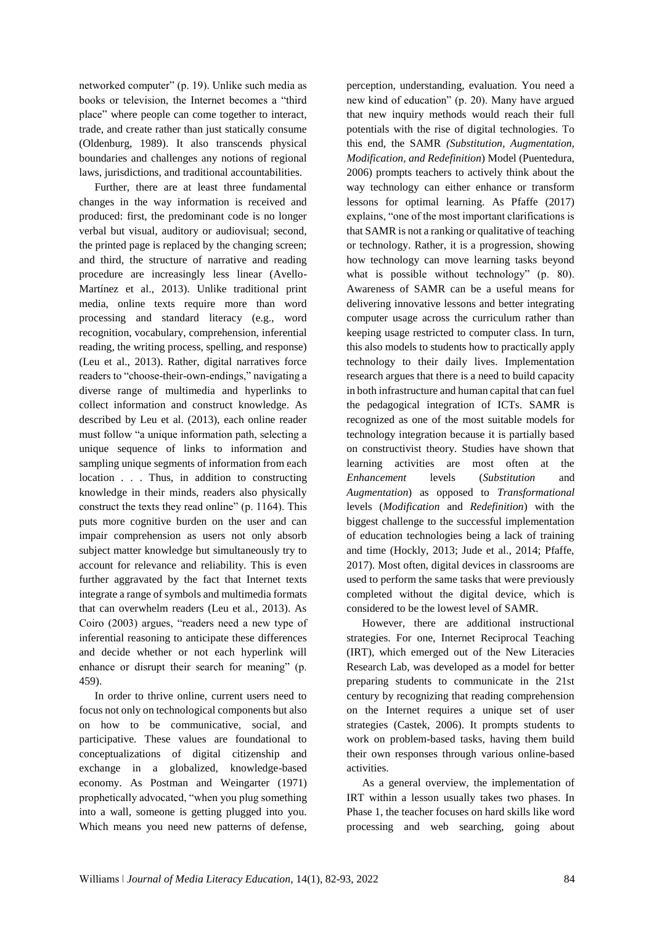networked computer" (p. 19). Unlike such media as books or television, the Internet becomes a "third place" where people can come together to interact, trade, and create rather than just statically consume (Oldenburg, 1989). It also transcends physical boundaries and challenges any notions of regional laws, jurisdictions, and traditional accountabilities.

Further, there are at least three fundamental changes in the way information is received and produced: first, the predominant code is no longer verbal but visual, auditory or audiovisual; second, the printed page is replaced by the changing screen; and third, the structure of narrative and reading procedure are increasingly less linear (Avello-Martínez et al., 2013). Unlike traditional print media, online texts require more than word processing and standard literacy (e.g., word recognition, vocabulary, comprehension, inferential reading, the writing process, spelling, and response) (Leu et al., 2013). Rather, digital narratives force readers to "choose-their-own-endings," navigating a diverse range of multimedia and hyperlinks to collect information and construct knowledge. As described by Leu et al. (2013), each online reader must follow "a unique information path, selecting a unique sequence of links to information and sampling unique segments of information from each location . . . Thus, in addition to constructing knowledge in their minds, readers also physically construct the texts they read online" (p. 1164). This puts more cognitive burden on the user and can impair comprehension as users not only absorb subject matter knowledge but simultaneously try to account for relevance and reliability. This is even further aggravated by the fact that Internet texts integrate a range of symbols and multimedia formats that can overwhelm readers (Leu et al., 2013). As Coiro (2003) argues, "readers need a new type of inferential reasoning to anticipate these differences and decide whether or not each hyperlink will enhance or disrupt their search for meaning" (p. 459).

In order to thrive online, current users need to focus not only on technological components but also on how to be communicative, social, and participative. These values are foundational to conceptualizations of digital citizenship and exchange in a globalized, knowledge-based economy. As Postman and Weingarter (1971) prophetically advocated, "when you plug something into a wall, someone is getting plugged into you. Which means you need new patterns of defense,

perception, understanding, evaluation. You need a new kind of education" (p. 20). Many have argued that new inquiry methods would reach their full potentials with the rise of digital technologies. To this end, the SAMR *(Substitution, Augmentation, Modification, and Redefinition*) Model (Puentedura, 2006) prompts teachers to actively think about the way technology can either enhance or transform lessons for optimal learning. As Pfaffe (2017) explains, "one of the most important clarifications is that SAMR is not a ranking or qualitative of teaching or technology. Rather, it is a progression, showing how technology can move learning tasks beyond what is possible without technology" (p. 80). Awareness of SAMR can be a useful means for delivering innovative lessons and better integrating computer usage across the curriculum rather than keeping usage restricted to computer class. In turn, this also models to students how to practically apply technology to their daily lives. Implementation research argues that there is a need to build capacity in both infrastructure and human capital that can fuel the pedagogical integration of ICTs. SAMR is recognized as one of the most suitable models for technology integration because it is partially based on constructivist theory. Studies have shown that learning activities are most often at the *Enhancement* levels (*Substitution* and *Augmentation*) as opposed to *Transformational*  levels (*Modification* and *Redefinition*) with the biggest challenge to the successful implementation of education technologies being a lack of training and time (Hockly, 2013; Jude et al., 2014; Pfaffe, 2017). Most often, digital devices in classrooms are used to perform the same tasks that were previously completed without the digital device, which is considered to be the lowest level of SAMR.

However, there are additional instructional strategies. For one, Internet Reciprocal Teaching (IRT), which emerged out of the New Literacies Research Lab, was developed as a model for better preparing students to communicate in the 21st century by recognizing that reading comprehension on the Internet requires a unique set of user strategies (Castek, 2006). It prompts students to work on problem-based tasks, having them build their own responses through various online-based activities.

As a general overview, the implementation of IRT within a lesson usually takes two phases. In Phase 1, the teacher focuses on hard skills like word processing and web searching, going about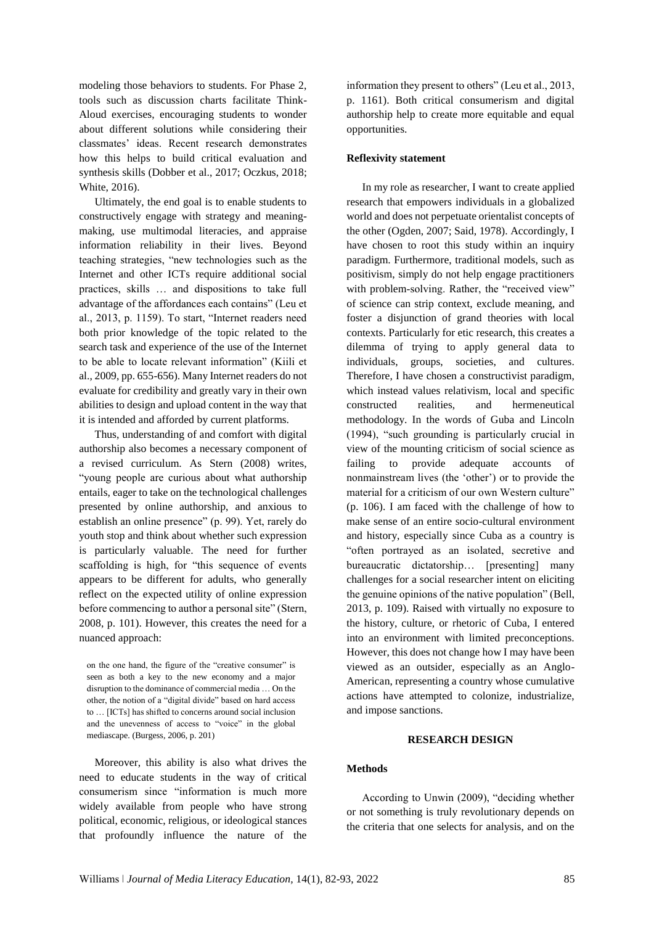modeling those behaviors to students. For Phase 2, tools such as discussion charts facilitate Think-Aloud exercises, encouraging students to wonder about different solutions while considering their classmates' ideas. Recent research demonstrates how this helps to build critical evaluation and synthesis skills (Dobber et al., 2017; Oczkus, 2018; White, 2016).

Ultimately, the end goal is to enable students to constructively engage with strategy and meaningmaking, use multimodal literacies, and appraise information reliability in their lives. Beyond teaching strategies, "new technologies such as the Internet and other ICTs require additional social practices, skills … and dispositions to take full advantage of the affordances each contains" (Leu et al., 2013, p. 1159). To start, "Internet readers need both prior knowledge of the topic related to the search task and experience of the use of the Internet to be able to locate relevant information" (Kiili et al., 2009, pp. 655-656). Many Internet readers do not evaluate for credibility and greatly vary in their own abilities to design and upload content in the way that it is intended and afforded by current platforms.

Thus, understanding of and comfort with digital authorship also becomes a necessary component of a revised curriculum. As Stern (2008) writes, "young people are curious about what authorship entails, eager to take on the technological challenges presented by online authorship, and anxious to establish an online presence" (p. 99). Yet, rarely do youth stop and think about whether such expression is particularly valuable. The need for further scaffolding is high, for "this sequence of events appears to be different for adults, who generally reflect on the expected utility of online expression before commencing to author a personal site" (Stern, 2008, p. 101). However, this creates the need for a nuanced approach:

Moreover, this ability is also what drives the need to educate students in the way of critical consumerism since "information is much more widely available from people who have strong political, economic, religious, or ideological stances that profoundly influence the nature of the

information they present to others" (Leu et al., 2013, p. 1161). Both critical consumerism and digital authorship help to create more equitable and equal opportunities.

# **Reflexivity statement**

In my role as researcher, I want to create applied research that empowers individuals in a globalized world and does not perpetuate orientalist concepts of the other (Ogden, 2007; Said, 1978). Accordingly, I have chosen to root this study within an inquiry paradigm. Furthermore, traditional models, such as positivism, simply do not help engage practitioners with problem-solving. Rather, the "received view" of science can strip context, exclude meaning, and foster a disjunction of grand theories with local contexts. Particularly for etic research, this creates a dilemma of trying to apply general data to individuals, groups, societies, and cultures. Therefore, I have chosen a constructivist paradigm, which instead values relativism, local and specific constructed realities, and hermeneutical methodology. In the words of Guba and Lincoln (1994), "such grounding is particularly crucial in view of the mounting criticism of social science as failing to provide adequate accounts of nonmainstream lives (the 'other') or to provide the material for a criticism of our own Western culture" (p. 106). I am faced with the challenge of how to make sense of an entire socio-cultural environment and history, especially since Cuba as a country is "often portrayed as an isolated, secretive and bureaucratic dictatorship… [presenting] many challenges for a social researcher intent on eliciting the genuine opinions of the native population" (Bell, 2013, p. 109). Raised with virtually no exposure to the history, culture, or rhetoric of Cuba, I entered into an environment with limited preconceptions. However, this does not change how I may have been viewed as an outsider, especially as an Anglo-American, representing a country whose cumulative actions have attempted to colonize, industrialize, and impose sanctions.

## **RESEARCH DESIGN**

# **Methods**

According to Unwin (2009), "deciding whether or not something is truly revolutionary depends on the criteria that one selects for analysis, and on the

on the one hand, the figure of the "creative consumer" is seen as both a key to the new economy and a major disruption to the dominance of commercial media … On the other, the notion of a "digital divide" based on hard access to … [ICTs] has shifted to concerns around social inclusion and the unevenness of access to "voice" in the global mediascape. (Burgess, 2006, p. 201)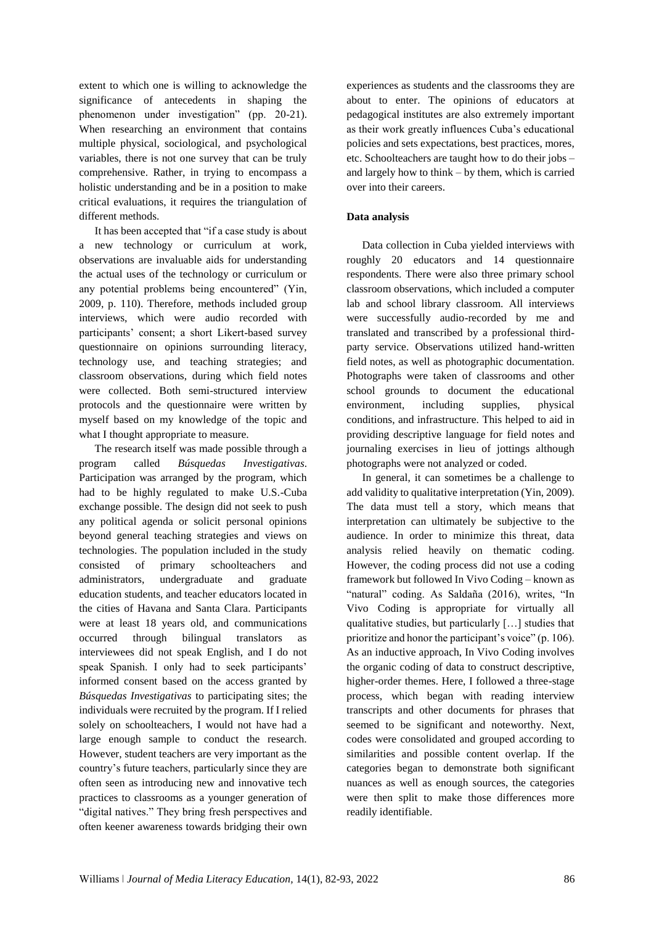extent to which one is willing to acknowledge the significance of antecedents in shaping the phenomenon under investigation" (pp. 20-21). When researching an environment that contains multiple physical, sociological, and psychological variables, there is not one survey that can be truly comprehensive. Rather, in trying to encompass a holistic understanding and be in a position to make critical evaluations, it requires the triangulation of different methods.

It has been accepted that "if a case study is about a new technology or curriculum at work, observations are invaluable aids for understanding the actual uses of the technology or curriculum or any potential problems being encountered" (Yin, 2009, p. 110). Therefore, methods included group interviews, which were audio recorded with participants' consent; a short Likert-based survey questionnaire on opinions surrounding literacy, technology use, and teaching strategies; and classroom observations, during which field notes were collected. Both semi-structured interview protocols and the questionnaire were written by myself based on my knowledge of the topic and what I thought appropriate to measure.

The research itself was made possible through a program called *Búsquedas Investigativas*. Participation was arranged by the program, which had to be highly regulated to make U.S.-Cuba exchange possible. The design did not seek to push any political agenda or solicit personal opinions beyond general teaching strategies and views on technologies. The population included in the study consisted of primary schoolteachers and administrators, undergraduate and graduate education students, and teacher educators located in the cities of Havana and Santa Clara. Participants were at least 18 years old, and communications occurred through bilingual translators interviewees did not speak English, and I do not speak Spanish. I only had to seek participants' informed consent based on the access granted by *Búsquedas Investigativas* to participating sites; the individuals were recruited by the program. If I relied solely on schoolteachers, I would not have had a large enough sample to conduct the research. However, student teachers are very important as the country's future teachers, particularly since they are often seen as introducing new and innovative tech practices to classrooms as a younger generation of "digital natives." They bring fresh perspectives and often keener awareness towards bridging their own

experiences as students and the classrooms they are about to enter. The opinions of educators at pedagogical institutes are also extremely important as their work greatly influences Cuba's educational policies and sets expectations, best practices, mores, etc. Schoolteachers are taught how to do their jobs – and largely how to think – by them, which is carried over into their careers.

# **Data analysis**

Data collection in Cuba yielded interviews with roughly 20 educators and 14 questionnaire respondents. There were also three primary school classroom observations, which included a computer lab and school library classroom. All interviews were successfully audio-recorded by me and translated and transcribed by a professional thirdparty service. Observations utilized hand-written field notes, as well as photographic documentation. Photographs were taken of classrooms and other school grounds to document the educational environment, including supplies, physical conditions, and infrastructure. This helped to aid in providing descriptive language for field notes and journaling exercises in lieu of jottings although photographs were not analyzed or coded.

In general, it can sometimes be a challenge to add validity to qualitative interpretation (Yin, 2009). The data must tell a story, which means that interpretation can ultimately be subjective to the audience. In order to minimize this threat, data analysis relied heavily on thematic coding. However, the coding process did not use a coding framework but followed In Vivo Coding – known as "natural" coding. As Saldaña (2016), writes, "In Vivo Coding is appropriate for virtually all qualitative studies, but particularly […] studies that prioritize and honor the participant's voice" (p. 106). As an inductive approach, In Vivo Coding involves the organic coding of data to construct descriptive, higher-order themes. Here, I followed a three-stage process, which began with reading interview transcripts and other documents for phrases that seemed to be significant and noteworthy. Next, codes were consolidated and grouped according to similarities and possible content overlap. If the categories began to demonstrate both significant nuances as well as enough sources, the categories were then split to make those differences more readily identifiable.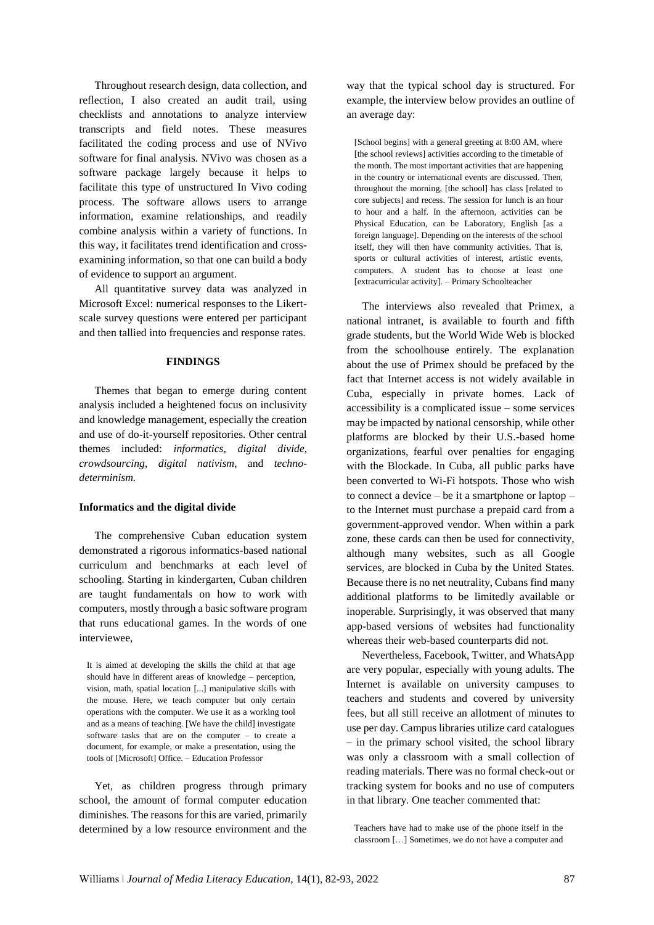Throughout research design, data collection, and reflection, I also created an audit trail, using checklists and annotations to analyze interview transcripts and field notes. These measures facilitated the coding process and use of NVivo software for final analysis. NVivo was chosen as a software package largely because it helps to facilitate this type of unstructured In Vivo coding process. The software allows users to arrange information, examine relationships, and readily combine analysis within a variety of functions. In this way, it facilitates trend identification and crossexamining information, so that one can build a body of evidence to support an argument.

All quantitative survey data was analyzed in Microsoft Excel: numerical responses to the Likertscale survey questions were entered per participant and then tallied into frequencies and response rates.

## **FINDINGS**

Themes that began to emerge during content analysis included a heightened focus on inclusivity and knowledge management, especially the creation and use of do-it-yourself repositories. Other central themes included: *informatics*, *digital divide*, *crowdsourcing*, *digital nativism*, and *technodeterminism.* 

#### **Informatics and the digital divide**

The comprehensive Cuban education system demonstrated a rigorous informatics-based national curriculum and benchmarks at each level of schooling. Starting in kindergarten, Cuban children are taught fundamentals on how to work with computers, mostly through a basic software program that runs educational games. In the words of one interviewee,

It is aimed at developing the skills the child at that age should have in different areas of knowledge – perception, vision, math, spatial location [...] manipulative skills with the mouse. Here, we teach computer but only certain operations with the computer. We use it as a working tool and as a means of teaching. [We have the child] investigate software tasks that are on the computer – to create a document, for example, or make a presentation, using the tools of [Microsoft] Office. – Education Professor

Yet, as children progress through primary school, the amount of formal computer education diminishes. The reasons for this are varied, primarily determined by a low resource environment and the

way that the typical school day is structured. For example, the interview below provides an outline of an average day:

[School begins] with a general greeting at 8:00 AM, where [the school reviews] activities according to the timetable of the month. The most important activities that are happening in the country or international events are discussed. Then, throughout the morning, [the school] has class [related to core subjects] and recess. The session for lunch is an hour to hour and a half. In the afternoon, activities can be Physical Education, can be Laboratory, English [as a foreign language]. Depending on the interests of the school itself, they will then have community activities. That is, sports or cultural activities of interest, artistic events, computers. A student has to choose at least one [extracurricular activity]. – Primary Schoolteacher

The interviews also revealed that Primex, a national intranet, is available to fourth and fifth grade students, but the World Wide Web is blocked from the schoolhouse entirely. The explanation about the use of Primex should be prefaced by the fact that Internet access is not widely available in Cuba, especially in private homes. Lack of accessibility is a complicated issue – some services may be impacted by national censorship, while other platforms are blocked by their U.S.-based home organizations, fearful over penalties for engaging with the Blockade. In Cuba, all public parks have been converted to Wi-Fi hotspots. Those who wish to connect a device – be it a smartphone or laptop – to the Internet must purchase a prepaid card from a government-approved vendor. When within a park zone, these cards can then be used for connectivity, although many websites, such as all Google services, are blocked in Cuba by the United States. Because there is no net neutrality, Cubans find many additional platforms to be limitedly available or inoperable. Surprisingly, it was observed that many app-based versions of websites had functionality whereas their web-based counterparts did not.

Nevertheless, Facebook, Twitter, and WhatsApp are very popular, especially with young adults. The Internet is available on university campuses to teachers and students and covered by university fees, but all still receive an allotment of minutes to use per day. Campus libraries utilize card catalogues – in the primary school visited, the school library was only a classroom with a small collection of reading materials. There was no formal check-out or tracking system for books and no use of computers in that library. One teacher commented that:

Teachers have had to make use of the phone itself in the classroom […] Sometimes, we do not have a computer and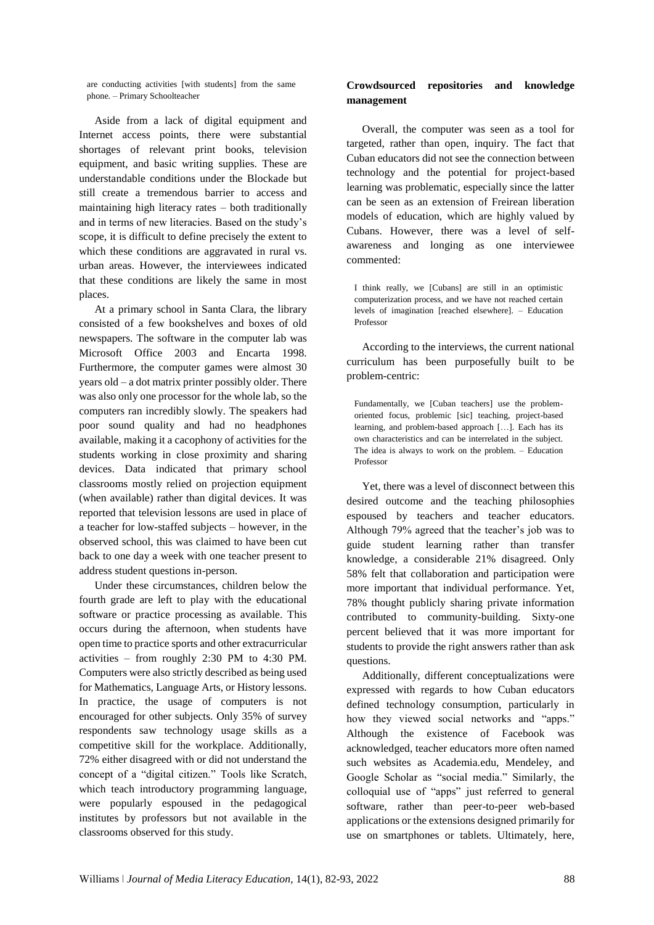are conducting activities [with students] from the same phone. – Primary Schoolteacher

Aside from a lack of digital equipment and Internet access points, there were substantial shortages of relevant print books, television equipment, and basic writing supplies. These are understandable conditions under the Blockade but still create a tremendous barrier to access and maintaining high literacy rates – both traditionally and in terms of new literacies. Based on the study's scope, it is difficult to define precisely the extent to which these conditions are aggravated in rural vs. urban areas. However, the interviewees indicated that these conditions are likely the same in most places.

At a primary school in Santa Clara, the library consisted of a few bookshelves and boxes of old newspapers. The software in the computer lab was Microsoft Office 2003 and Encarta 1998. Furthermore, the computer games were almost 30 years old – a dot matrix printer possibly older. There was also only one processor for the whole lab, so the computers ran incredibly slowly. The speakers had poor sound quality and had no headphones available, making it a cacophony of activities for the students working in close proximity and sharing devices. Data indicated that primary school classrooms mostly relied on projection equipment (when available) rather than digital devices. It was reported that television lessons are used in place of a teacher for low-staffed subjects – however, in the observed school, this was claimed to have been cut back to one day a week with one teacher present to address student questions in-person.

Under these circumstances, children below the fourth grade are left to play with the educational software or practice processing as available. This occurs during the afternoon, when students have open time to practice sports and other extracurricular activities – from roughly 2:30 PM to 4:30 PM. Computers were also strictly described as being used for Mathematics, Language Arts, or History lessons. In practice, the usage of computers is not encouraged for other subjects. Only 35% of survey respondents saw technology usage skills as a competitive skill for the workplace. Additionally, 72% either disagreed with or did not understand the concept of a "digital citizen." Tools like Scratch, which teach introductory programming language, were popularly espoused in the pedagogical institutes by professors but not available in the classrooms observed for this study.

# **Crowdsourced repositories and knowledge management**

Overall, the computer was seen as a tool for targeted, rather than open, inquiry. The fact that Cuban educators did not see the connection between technology and the potential for project-based learning was problematic, especially since the latter can be seen as an extension of Freirean liberation models of education, which are highly valued by Cubans. However, there was a level of selfawareness and longing as one interviewee commented:

I think really, we [Cubans] are still in an optimistic computerization process, and we have not reached certain levels of imagination [reached elsewhere]. – Education Professor

According to the interviews, the current national curriculum has been purposefully built to be problem-centric:

Fundamentally, we [Cuban teachers] use the problemoriented focus, problemic [sic] teaching, project-based learning, and problem-based approach […]. Each has its own characteristics and can be interrelated in the subject. The idea is always to work on the problem. – Education Professor

Yet, there was a level of disconnect between this desired outcome and the teaching philosophies espoused by teachers and teacher educators. Although 79% agreed that the teacher's job was to guide student learning rather than transfer knowledge, a considerable 21% disagreed. Only 58% felt that collaboration and participation were more important that individual performance. Yet, 78% thought publicly sharing private information contributed to community-building. Sixty-one percent believed that it was more important for students to provide the right answers rather than ask questions.

Additionally, different conceptualizations were expressed with regards to how Cuban educators defined technology consumption, particularly in how they viewed social networks and "apps." Although the existence of Facebook was acknowledged, teacher educators more often named such websites as Academia.edu, Mendeley, and Google Scholar as "social media." Similarly, the colloquial use of "apps" just referred to general software, rather than peer-to-peer web-based applications or the extensions designed primarily for use on smartphones or tablets. Ultimately, here,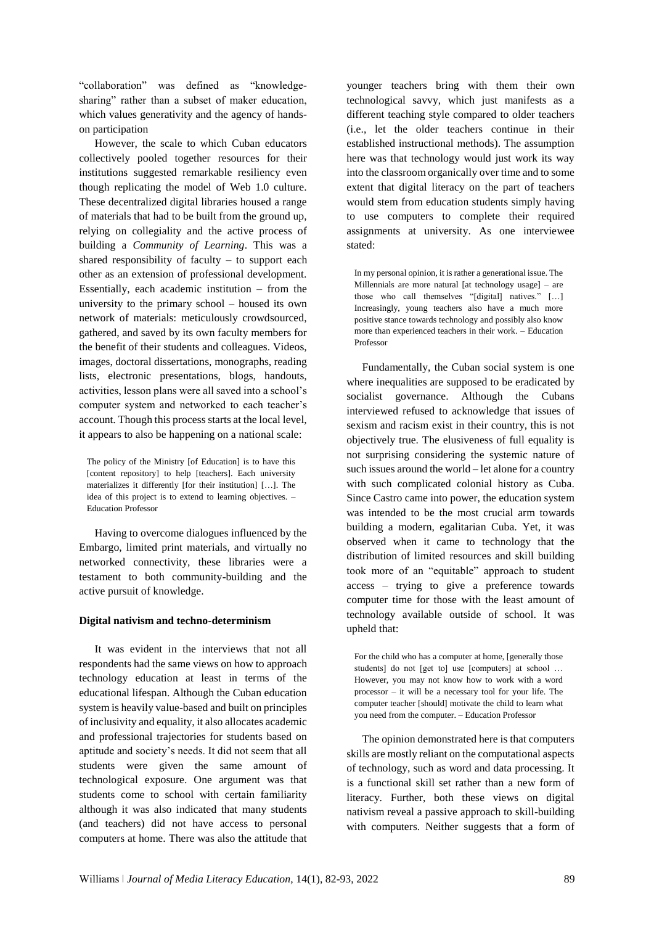"collaboration" was defined as "knowledgesharing" rather than a subset of maker education, which values generativity and the agency of handson participation

However, the scale to which Cuban educators collectively pooled together resources for their institutions suggested remarkable resiliency even though replicating the model of Web 1.0 culture. These decentralized digital libraries housed a range of materials that had to be built from the ground up, relying on collegiality and the active process of building a *Community of Learning*. This was a shared responsibility of faculty  $-$  to support each other as an extension of professional development. Essentially, each academic institution – from the university to the primary school – housed its own network of materials: meticulously crowdsourced, gathered, and saved by its own faculty members for the benefit of their students and colleagues. Videos, images, doctoral dissertations, monographs, reading lists, electronic presentations, blogs, handouts, activities, lesson plans were all saved into a school's computer system and networked to each teacher's account. Though this process starts at the local level, it appears to also be happening on a national scale:

The policy of the Ministry [of Education] is to have this [content repository] to help [teachers]. Each university materializes it differently [for their institution] […]. The idea of this project is to extend to learning objectives. – Education Professor

Having to overcome dialogues influenced by the Embargo, limited print materials, and virtually no networked connectivity, these libraries were a testament to both community-building and the active pursuit of knowledge.

### **Digital nativism and techno-determinism**

It was evident in the interviews that not all respondents had the same views on how to approach technology education at least in terms of the educational lifespan. Although the Cuban education system is heavily value-based and built on principles of inclusivity and equality, it also allocates academic and professional trajectories for students based on aptitude and society's needs. It did not seem that all students were given the same amount of technological exposure. One argument was that students come to school with certain familiarity although it was also indicated that many students (and teachers) did not have access to personal computers at home. There was also the attitude that

younger teachers bring with them their own technological savvy, which just manifests as a different teaching style compared to older teachers (i.e., let the older teachers continue in their established instructional methods). The assumption here was that technology would just work its way into the classroom organically over time and to some extent that digital literacy on the part of teachers would stem from education students simply having to use computers to complete their required assignments at university. As one interviewee stated:

In my personal opinion, it is rather a generational issue. The Millennials are more natural [at technology usage] – are those who call themselves "[digital] natives." […] Increasingly, young teachers also have a much more positive stance towards technology and possibly also know more than experienced teachers in their work. – Education Professor

Fundamentally, the Cuban social system is one where inequalities are supposed to be eradicated by socialist governance. Although the Cubans interviewed refused to acknowledge that issues of sexism and racism exist in their country, this is not objectively true. The elusiveness of full equality is not surprising considering the systemic nature of such issues around the world – let alone for a country with such complicated colonial history as Cuba. Since Castro came into power, the education system was intended to be the most crucial arm towards building a modern, egalitarian Cuba. Yet, it was observed when it came to technology that the distribution of limited resources and skill building took more of an "equitable" approach to student access – trying to give a preference towards computer time for those with the least amount of technology available outside of school. It was upheld that:

For the child who has a computer at home, [generally those students] do not [get to] use [computers] at school … However, you may not know how to work with a word processor – it will be a necessary tool for your life. The computer teacher [should] motivate the child to learn what you need from the computer. – Education Professor

The opinion demonstrated here is that computers skills are mostly reliant on the computational aspects of technology, such as word and data processing. It is a functional skill set rather than a new form of literacy. Further, both these views on digital nativism reveal a passive approach to skill-building with computers. Neither suggests that a form of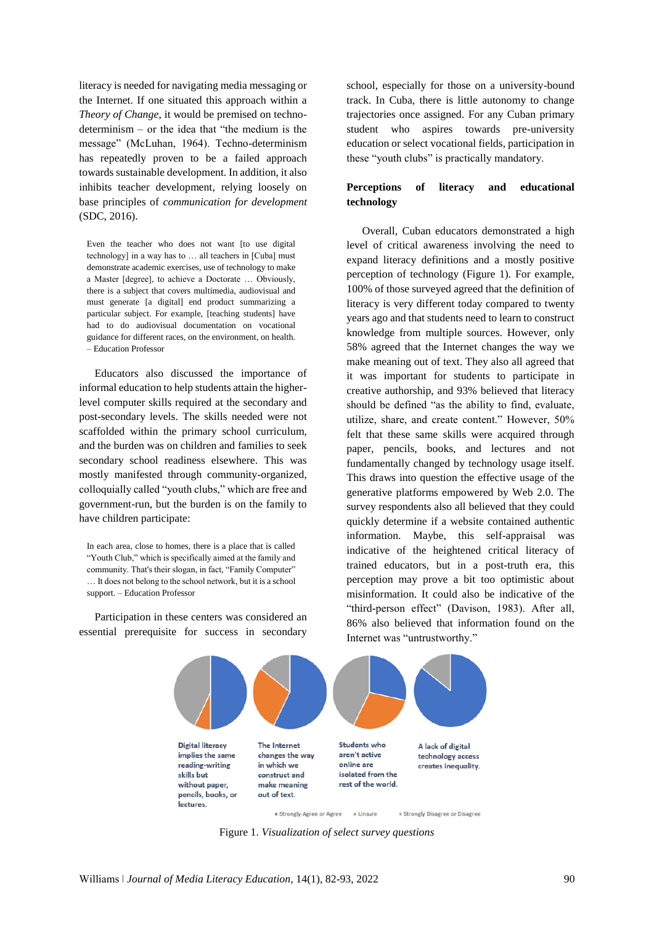literacy is needed for navigating media messaging or the Internet. If one situated this approach within a *Theory of Change*, it would be premised on technodeterminism – or the idea that "the medium is the message" (McLuhan, 1964). Techno-determinism has repeatedly proven to be a failed approach towards sustainable development. In addition, it also inhibits teacher development, relying loosely on base principles of *communication for development* (SDC, 2016).

Even the teacher who does not want [to use digital technology] in a way has to … all teachers in [Cuba] must demonstrate academic exercises, use of technology to make a Master [degree], to achieve a Doctorate … Obviously, there is a subject that covers multimedia, audiovisual and must generate [a digital] end product summarizing a particular subject. For example, [teaching students] have had to do audiovisual documentation on vocational guidance for different races, on the environment, on health. – Education Professor

Educators also discussed the importance of informal education to help students attain the higherlevel computer skills required at the secondary and post-secondary levels. The skills needed were not scaffolded within the primary school curriculum, and the burden was on children and families to seek secondary school readiness elsewhere. This was mostly manifested through community-organized, colloquially called "youth clubs," which are free and government-run, but the burden is on the family to have children participate:

In each area, close to homes, there is a place that is called "Youth Club," which is specifically aimed at the family and community. That's their slogan, in fact, "Family Computer" … It does not belong to the school network, but it is a school support. – Education Professor

Participation in these centers was considered an essential prerequisite for success in secondary

school, especially for those on a university-bound track. In Cuba, there is little autonomy to change trajectories once assigned. For any Cuban primary student who aspires towards pre-university education or select vocational fields, participation in these "youth clubs" is practically mandatory.

# **Perceptions of literacy and educational technology**

Overall, Cuban educators demonstrated a high level of critical awareness involving the need to expand literacy definitions and a mostly positive perception of technology (Figure 1). For example, 100% of those surveyed agreed that the definition of literacy is very different today compared to twenty years ago and that students need to learn to construct knowledge from multiple sources. However, only 58% agreed that the Internet changes the way we make meaning out of text. They also all agreed that it was important for students to participate in creative authorship, and 93% believed that literacy should be defined "as the ability to find, evaluate, utilize, share, and create content." However, 50% felt that these same skills were acquired through paper, pencils, books, and lectures and not fundamentally changed by technology usage itself. This draws into question the effective usage of the generative platforms empowered by Web 2.0. The survey respondents also all believed that they could quickly determine if a website contained authentic information. Maybe, this self-appraisal was indicative of the heightened critical literacy of trained educators, but in a post-truth era, this perception may prove a bit too optimistic about misinformation. It could also be indicative of the "third-person effect" (Davison, 1983). After all, 86% also believed that information found on the Internet was "untrustworthy."



Figure 1. *Visualization of select survey questions*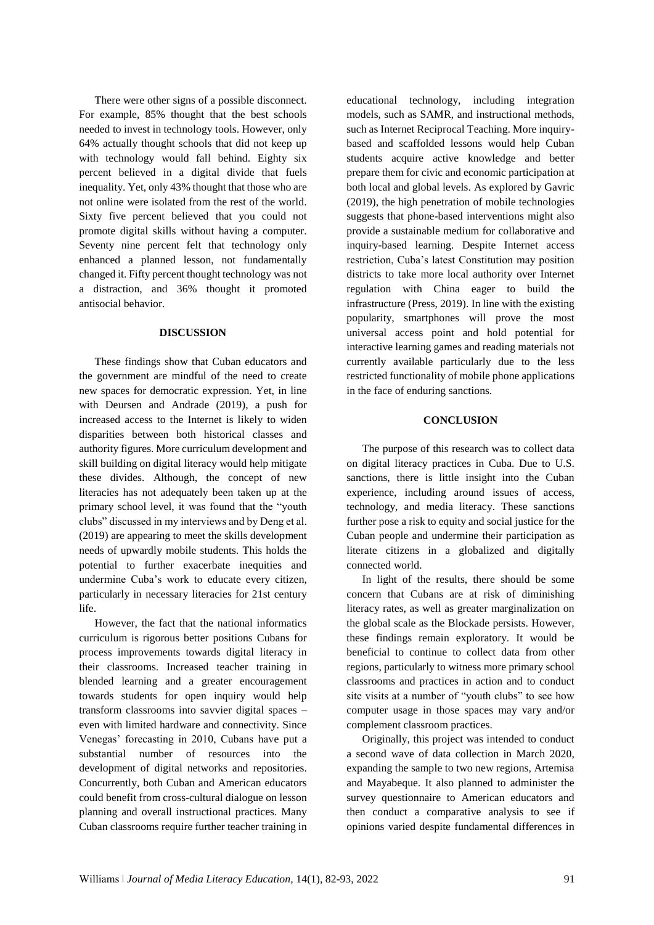There were other signs of a possible disconnect. For example, 85% thought that the best schools needed to invest in technology tools. However, only 64% actually thought schools that did not keep up with technology would fall behind. Eighty six percent believed in a digital divide that fuels inequality. Yet, only 43% thought that those who are not online were isolated from the rest of the world. Sixty five percent believed that you could not promote digital skills without having a computer. Seventy nine percent felt that technology only enhanced a planned lesson, not fundamentally changed it. Fifty percent thought technology was not a distraction, and 36% thought it promoted antisocial behavior.

#### **DISCUSSION**

These findings show that Cuban educators and the government are mindful of the need to create new spaces for democratic expression. Yet, in line with Deursen and Andrade (2019), a push for increased access to the Internet is likely to widen disparities between both historical classes and authority figures. More curriculum development and skill building on digital literacy would help mitigate these divides. Although, the concept of new literacies has not adequately been taken up at the primary school level, it was found that the "youth clubs" discussed in my interviews and by Deng et al. (2019) are appearing to meet the skills development needs of upwardly mobile students. This holds the potential to further exacerbate inequities and undermine Cuba's work to educate every citizen, particularly in necessary literacies for 21st century life.

However, the fact that the national informatics curriculum is rigorous better positions Cubans for process improvements towards digital literacy in their classrooms. Increased teacher training in blended learning and a greater encouragement towards students for open inquiry would help transform classrooms into savvier digital spaces – even with limited hardware and connectivity. Since Venegas' forecasting in 2010, Cubans have put a substantial number of resources into the development of digital networks and repositories. Concurrently, both Cuban and American educators could benefit from cross-cultural dialogue on lesson planning and overall instructional practices. Many Cuban classrooms require further teacher training in

educational technology, including integration models, such as SAMR, and instructional methods, such as Internet Reciprocal Teaching. More inquirybased and scaffolded lessons would help Cuban students acquire active knowledge and better prepare them for civic and economic participation at both local and global levels. As explored by Gavric (2019), the high penetration of mobile technologies suggests that phone-based interventions might also provide a sustainable medium for collaborative and inquiry-based learning. Despite Internet access restriction, Cuba's latest Constitution may position districts to take more local authority over Internet regulation with China eager to build the infrastructure (Press, 2019). In line with the existing popularity, smartphones will prove the most universal access point and hold potential for interactive learning games and reading materials not currently available particularly due to the less restricted functionality of mobile phone applications in the face of enduring sanctions.

### **CONCLUSION**

The purpose of this research was to collect data on digital literacy practices in Cuba. Due to U.S. sanctions, there is little insight into the Cuban experience, including around issues of access, technology, and media literacy. These sanctions further pose a risk to equity and social justice for the Cuban people and undermine their participation as literate citizens in a globalized and digitally connected world.

In light of the results, there should be some concern that Cubans are at risk of diminishing literacy rates, as well as greater marginalization on the global scale as the Blockade persists. However, these findings remain exploratory. It would be beneficial to continue to collect data from other regions, particularly to witness more primary school classrooms and practices in action and to conduct site visits at a number of "youth clubs" to see how computer usage in those spaces may vary and/or complement classroom practices.

Originally, this project was intended to conduct a second wave of data collection in March 2020, expanding the sample to two new regions, Artemisa and Mayabeque. It also planned to administer the survey questionnaire to American educators and then conduct a comparative analysis to see if opinions varied despite fundamental differences in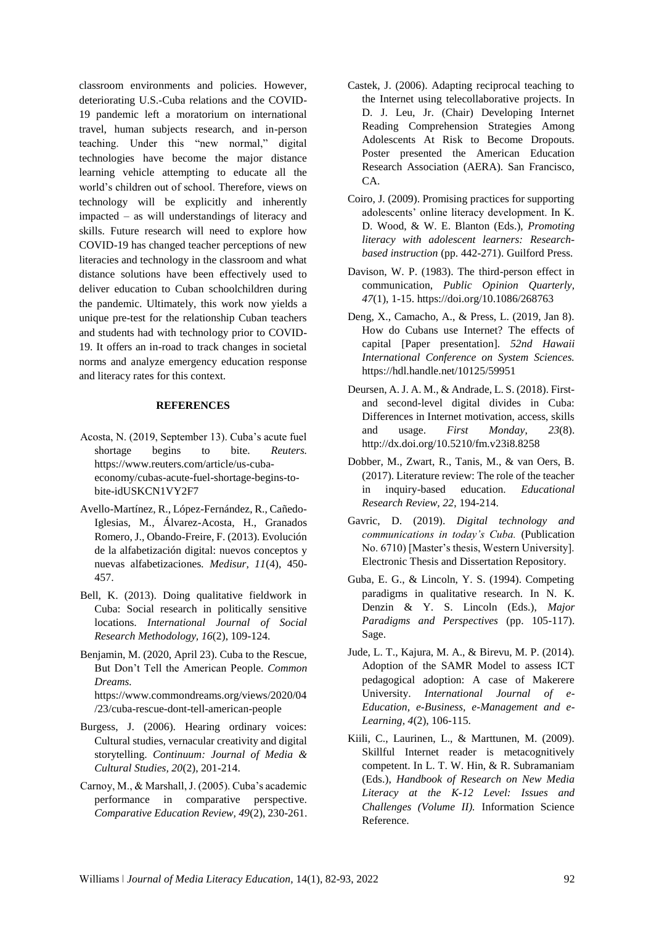classroom environments and policies. However, deteriorating U.S.-Cuba relations and the COVID-19 pandemic left a moratorium on international travel, human subjects research, and in-person teaching. Under this "new normal," digital technologies have become the major distance learning vehicle attempting to educate all the world's children out of school. Therefore, views on technology will be explicitly and inherently impacted – as will understandings of literacy and skills. Future research will need to explore how COVID-19 has changed teacher perceptions of new literacies and technology in the classroom and what distance solutions have been effectively used to deliver education to Cuban schoolchildren during the pandemic. Ultimately, this work now yields a unique pre-test for the relationship Cuban teachers and students had with technology prior to COVID-19. It offers an in-road to track changes in societal norms and analyze emergency education response and literacy rates for this context.

## **REFERENCES**

- Acosta, N. (2019, September 13). Cuba's acute fuel shortage begins to bite. *Reuters.*  [https://www.reuters.com/article/us-cuba](https://www.reuters.com/article/us-cuba-economy/cubas-acute-fuel-shortage-begins-to-bite-idUSKCN1VY2F7)[economy/cubas-acute-fuel-shortage-begins-to](https://www.reuters.com/article/us-cuba-economy/cubas-acute-fuel-shortage-begins-to-bite-idUSKCN1VY2F7)[bite-idUSKCN1VY2F7](https://www.reuters.com/article/us-cuba-economy/cubas-acute-fuel-shortage-begins-to-bite-idUSKCN1VY2F7)
- Avello-Martínez, R., López-Fernández, R., Cañedo-Iglesias, M., Álvarez-Acosta, H., Granados Romero, J., Obando-Freire, F. (2013). Evolución de la alfabetización digital: nuevos conceptos y nuevas alfabetizaciones*. Medisur, 11*(4), 450- 457.
- Bell, K. (2013). Doing qualitative fieldwork in Cuba: Social research in politically sensitive locations. *International Journal of Social Research Methodology, 16*(2), 109-124.
- Benjamin, M. (2020, April 23). Cuba to the Rescue, But Don't Tell the American People. *Common Dreams.*  [https://www.commondreams.org/views/2020/04](https://www.commondreams.org/views/2020/04/23/cuba-rescue-dont-tell-american-people) [/23/cuba-rescue-dont-tell-american-people](https://www.commondreams.org/views/2020/04/23/cuba-rescue-dont-tell-american-people)
- Burgess, J. (2006). Hearing ordinary voices: Cultural studies, vernacular creativity and digital storytelling. *Continuum: Journal of Media & Cultural Studies, 20*(2), 201-214.
- Carnoy, M., & Marshall, J. (2005). Cuba's academic performance in comparative perspective. *Comparative Education Review, 49*(2), 230-261.
- Castek, J. (2006). Adapting reciprocal teaching to the Internet using telecollaborative projects. In D. J. Leu, Jr. (Chair) Developing Internet Reading Comprehension Strategies Among Adolescents At Risk to Become Dropouts. Poster presented the American Education Research Association (AERA). San Francisco, CA.
- Coiro, J. (2009). Promising practices for supporting adolescents' online literacy development. In K. D. Wood, & W. E. Blanton (Eds.), *Promoting literacy with adolescent learners: Researchbased instruction* (pp. 442-271). Guilford Press.
- Davison, W. P. (1983). The third-person effect in communication, *Public Opinion Quarterly, 47*(1), 1-15[. https://doi.org/10.1086/268763](https://doi.org/10.1086/268763)
- Deng, X., Camacho, A., & Press, L. (2019, Jan 8). How do Cubans use Internet? The effects of capital [Paper presentation]. *52nd Hawaii International Conference on System Sciences.*  <https://hdl.handle.net/10125/59951>
- Deursen, A. J. A. M., & Andrade, L. S. (2018). Firstand second-level digital divides in Cuba: Differences in Internet motivation, access, skills and usage. *First Monday*, *23*(8). <http://dx.doi.org/10.5210/fm.v23i8.8258>
- Dobber, M., Zwart, R., Tanis, M., & van Oers, B. (2017). Literature review: The role of the teacher in inquiry-based education. *Educational Research Review, 22*, 194-214.
- Gavric, D. (2019). *Digital technology and communications in today's Cuba.* (Publication No. 6710) [Master's thesis, Western University]. Electronic Thesis and Dissertation Repository.
- Guba, E. G., & Lincoln, Y. S. (1994). Competing paradigms in qualitative research. In N. K. Denzin & Y. S. Lincoln (Eds.), *Major Paradigms and Perspectives* (pp. 105-117). Sage.
- Jude, L. T., Kajura, M. A., & Birevu, M. P. (2014). Adoption of the SAMR Model to assess ICT pedagogical adoption: A case of Makerere University. *International Journal of e-Education, e-Business, e-Management and e-Learning, 4*(2), 106-115.
- Kiili, C., Laurinen, L., & Marttunen, M. (2009). Skillful Internet reader is metacognitively competent. In L. T. W. Hin, & R. Subramaniam (Eds.), *Handbook of Research on New Media Literacy at the K-12 Level: Issues and Challenges (Volume II).* Information Science Reference.